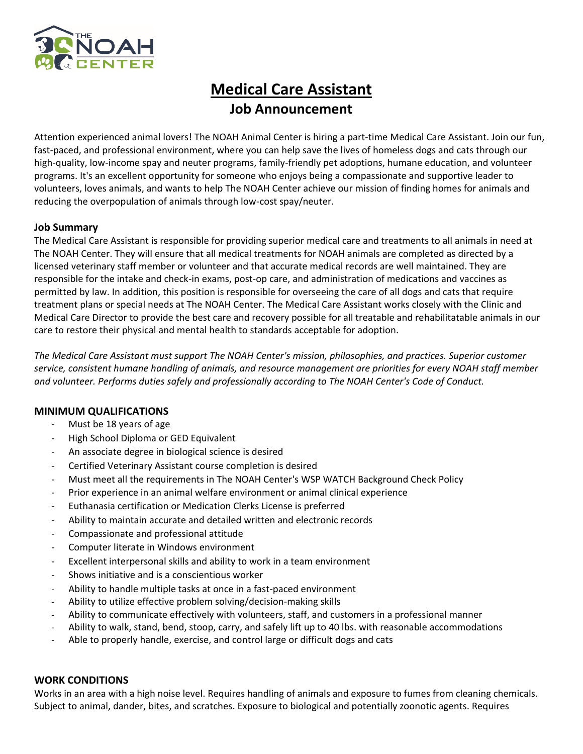

# **Medical Care Assistant Job Announcement**

Attention experienced animal lovers! The NOAH Animal Center is hiring a part-time Medical Care Assistant. Join our fun, fast-paced, and professional environment, where you can help save the lives of homeless dogs and cats through our high-quality, low-income spay and neuter programs, family-friendly pet adoptions, humane education, and volunteer programs. It's an excellent opportunity for someone who enjoys being a compassionate and supportive leader to volunteers, loves animals, and wants to help The NOAH Center achieve our mission of finding homes for animals and reducing the overpopulation of animals through low-cost spay/neuter.

## **Job Summary**

The Medical Care Assistant is responsible for providing superior medical care and treatments to all animals in need at The NOAH Center. They will ensure that all medical treatments for NOAH animals are completed as directed by a licensed veterinary staff member or volunteer and that accurate medical records are well maintained. They are responsible for the intake and check-in exams, post-op care, and administration of medications and vaccines as permitted by law. In addition, this position is responsible for overseeing the care of all dogs and cats that require treatment plans or special needs at The NOAH Center. The Medical Care Assistant works closely with the Clinic and Medical Care Director to provide the best care and recovery possible for all treatable and rehabilitatable animals in our care to restore their physical and mental health to standards acceptable for adoption.

*The Medical Care Assistant must support The NOAH Center's mission, philosophies, and practices. Superior customer service, consistent humane handling of animals, and resource management are priorities for every NOAH staff member and volunteer. Performs duties safely and professionally according to The NOAH Center's Code of Conduct.*

## **MINIMUM QUALIFICATIONS**

- Must be 18 years of age
- High School Diploma or GED Equivalent
- An associate degree in biological science is desired
- Certified Veterinary Assistant course completion is desired
- Must meet all the requirements in The NOAH Center's WSP WATCH Background Check Policy
- Prior experience in an animal welfare environment or animal clinical experience
- Euthanasia certification or Medication Clerks License is preferred
- Ability to maintain accurate and detailed written and electronic records
- Compassionate and professional attitude
- Computer literate in Windows environment
- Excellent interpersonal skills and ability to work in a team environment
- Shows initiative and is a conscientious worker
- Ability to handle multiple tasks at once in a fast-paced environment
- Ability to utilize effective problem solving/decision-making skills
- Ability to communicate effectively with volunteers, staff, and customers in a professional manner
- Ability to walk, stand, bend, stoop, carry, and safely lift up to 40 lbs. with reasonable accommodations
- Able to properly handle, exercise, and control large or difficult dogs and cats

## **WORK CONDITIONS**

Works in an area with a high noise level. Requires handling of animals and exposure to fumes from cleaning chemicals. Subject to animal, dander, bites, and scratches. Exposure to biological and potentially zoonotic agents. Requires